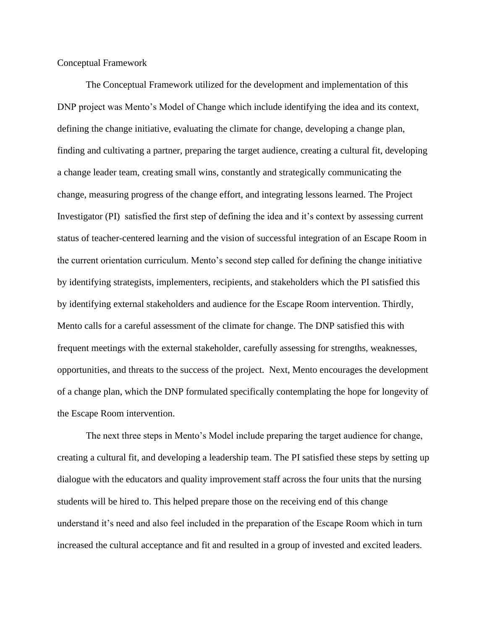Conceptual Framework

The Conceptual Framework utilized for the development and implementation of this DNP project was Mento's Model of Change which include identifying the idea and its context, defining the change initiative, evaluating the climate for change, developing a change plan, finding and cultivating a partner, preparing the target audience, creating a cultural fit, developing a change leader team, creating small wins, constantly and strategically communicating the change, measuring progress of the change effort, and integrating lessons learned. The Project Investigator (PI) satisfied the first step of defining the idea and it's context by assessing current status of teacher-centered learning and the vision of successful integration of an Escape Room in the current orientation curriculum. Mento's second step called for defining the change initiative by identifying strategists, implementers, recipients, and stakeholders which the PI satisfied this by identifying external stakeholders and audience for the Escape Room intervention. Thirdly, Mento calls for a careful assessment of the climate for change. The DNP satisfied this with frequent meetings with the external stakeholder, carefully assessing for strengths, weaknesses, opportunities, and threats to the success of the project. Next, Mento encourages the development of a change plan, which the DNP formulated specifically contemplating the hope for longevity of the Escape Room intervention.

The next three steps in Mento's Model include preparing the target audience for change, creating a cultural fit, and developing a leadership team. The PI satisfied these steps by setting up dialogue with the educators and quality improvement staff across the four units that the nursing students will be hired to. This helped prepare those on the receiving end of this change understand it's need and also feel included in the preparation of the Escape Room which in turn increased the cultural acceptance and fit and resulted in a group of invested and excited leaders.